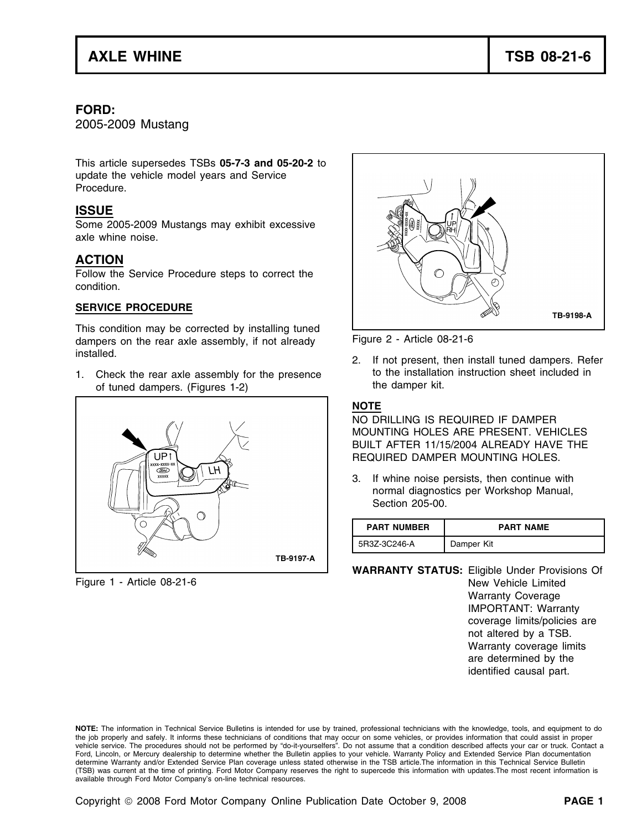### **FORD:**

2005-2009 Mustang

This article supersedes TSBs **05-7-3 and 05-20-2** to update the vehicle model years and Service Procedure.

# **ISSUE**

Some 2005-2009 Mustangs may exhibit excessive axle whine noise.

# **ACTION**

Follow the Service Procedure steps to correct the condition.

#### **SERVICE PROCEDURE**

This condition may be corrected by installing tuned dampers on the rear axle assembly, if not already Figure 2 - Article 08-21-6

1. Check the rear axle assembly for the presence to the installation instruction sheet included in<br>of tuned dampers (Figures 1-2) the damper kit. of tuned dampers. (Figures 1-2)





installed. 2. If not present, then install tuned dampers. Refer

## **NOTE**

NO DRILLING IS REQUIRED IF DAMPER MOUNTING HOLES ARE PRESENT. VEHICLES BUILT AFTER 11/15/2004 ALREADY HAVE THE REQUIRED DAMPER MOUNTING HOLES.

3. If whine noise persists, then continue with normal diagnostics per Workshop Manual, Section 205-00.

| <b>PART NUMBER</b> | <b>PART NAME</b> |
|--------------------|------------------|
| 5R3Z-3C246-A       | Damper Kit       |

**WARRANTY STATUS:** Eligible Under Provisions Of Figure 1 - Article 08-21-6 **New Year 2018** New Vehicle Limited Warranty Coverage IMPORTANT: Warranty coverage limits/policies are not altered by a TSB. Warranty coverage limits are determined by the identified causal part.

**NOTE:** The information in Technical Service Bulletins is intended for use by trained, professional technicians with the knowledge, tools, and equipment to do the job properly and safely. It informs these technicians of conditions that may occur on some vehicles, or provides information that could assist in proper vehicle service. The procedures should not be performed by "do-it-yourselfers". Do not assume that a condition described affects your car or truck. Contact a Ford, Lincoln, or Mercury dealership to determine whether the Bulletin applies to your vehicle. Warranty Policy and Extended Service Plan documentation determine Warranty and/or Extended Service Plan coverage unless stated otherwise in the TSB article.The information in this Technical Service Bulletin (TSB) was current at the time of printing. Ford Motor Company reserves the right to supercede this information with updates.The most recent information is available through Ford Motor Company's on-line technical resources.